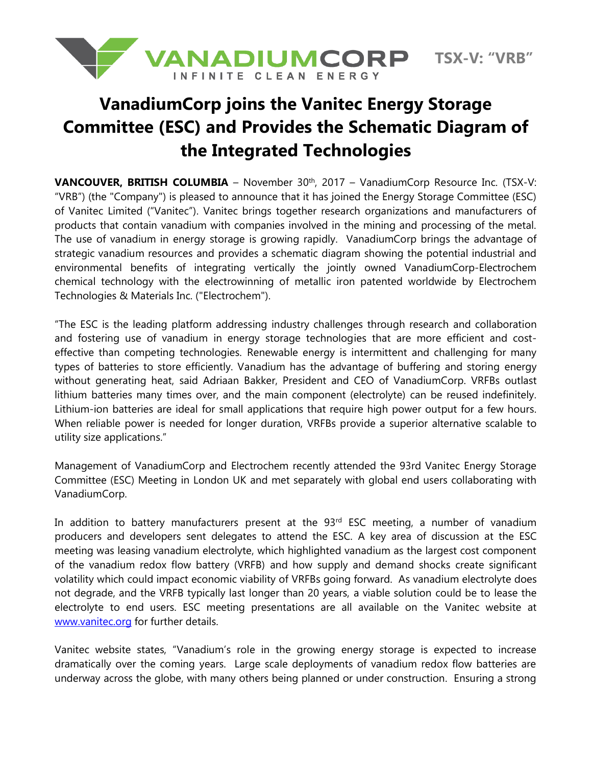

**TSX-V: "VRB"**

## **VanadiumCorp joins the Vanitec Energy Storage Committee (ESC) and Provides the Schematic Diagram of the Integrated Technologies**

**VANCOUVER, BRITISH COLUMBIA** - November 30<sup>th</sup>, 2017 - VanadiumCorp Resource Inc. (TSX-V: "VRB") (the "Company") is pleased to announce that it has joined the Energy Storage Committee (ESC) of Vanitec Limited ("Vanitec"). Vanitec brings together research organizations and manufacturers of products that contain vanadium with companies involved in the mining and processing of the metal. The use of vanadium in energy storage is growing rapidly. VanadiumCorp brings the advantage of strategic vanadium resources and provides a schematic diagram showing the potential industrial and environmental benefits of integrating vertically the jointly owned VanadiumCorp-Electrochem chemical technology with the electrowinning of metallic iron patented worldwide by Electrochem Technologies & Materials Inc. ("Electrochem").

"The ESC is the leading platform addressing industry challenges through research and collaboration and fostering use of vanadium in energy storage technologies that are more efficient and costeffective than competing technologies. Renewable energy is intermittent and challenging for many types of batteries to store efficiently. Vanadium has the advantage of buffering and storing energy without generating heat, said Adriaan Bakker, President and CEO of VanadiumCorp. VRFBs outlast lithium batteries many times over, and the main component (electrolyte) can be reused indefinitely. Lithium-ion batteries are ideal for small applications that require high power output for a few hours. When reliable power is needed for longer duration, VRFBs provide a superior alternative scalable to utility size applications."

Management of VanadiumCorp and Electrochem recently attended the 93rd Vanitec Energy Storage Committee (ESC) Meeting in London UK and met separately with global end users collaborating with VanadiumCorp.

In addition to battery manufacturers present at the 93<sup>rd</sup> ESC meeting, a number of vanadium producers and developers sent delegates to attend the ESC. A key area of discussion at the ESC meeting was leasing vanadium electrolyte, which highlighted vanadium as the largest cost component of the vanadium redox flow battery (VRFB) and how supply and demand shocks create significant volatility which could impact economic viability of VRFBs going forward. As vanadium electrolyte does not degrade, and the VRFB typically last longer than 20 years, a viable solution could be to lease the electrolyte to end users. ESC meeting presentations are all available on the Vanitec website at [www.vanitec.org](http://www.vanitec.org/) for further details.

Vanitec website states, "Vanadium's role in the growing energy storage is expected to increase dramatically over the coming years. Large scale deployments of vanadium redox flow batteries are underway across the globe, with many others being planned or under construction. Ensuring a strong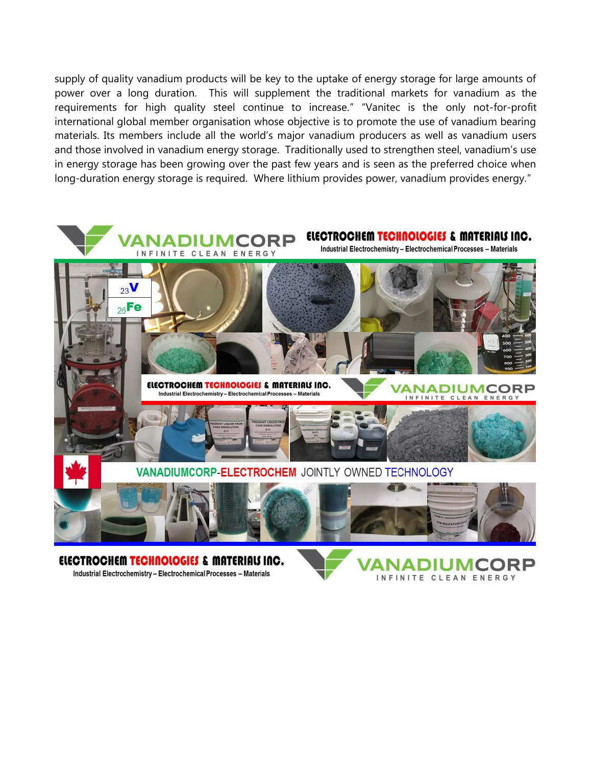supply of quality vanadium products will be key to the uptake of energy storage for large amounts of power over a long duration. This will supplement the traditional markets for vanadium as the requirements for high quality steel continue to increase." "Vanitec is the only not-for-profit international global member organisation whose objective is to promote the use of vanadium bearing materials. Its members include all the world's major vanadium producers as well as vanadium users and those involved in vanadium energy storage. Traditionally used to strengthen steel, vanadium's use in energy storage has been growing over the past few years and is seen as the preferred choice when long-duration energy storage is required. Where lithium provides power, vanadium provides energy."



ELECTROCHEM TECHNOLOGIES & MATERIALS INC. Industrial Electrochemistry - Electrochemical Processes - Materials